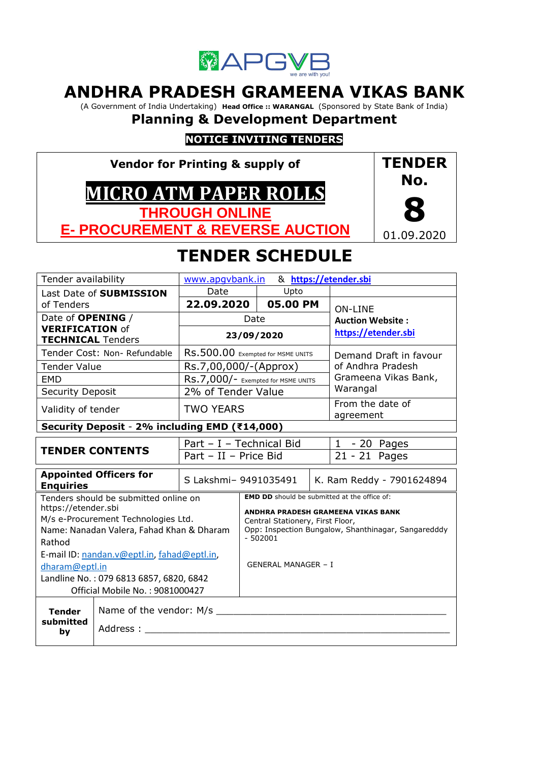

# **ANDHRA PRADESH GRAMEENA VIKAS BANK**

(A Government of India Undertaking) **Head Office :: WARANGAL** (Sponsored by State Bank of India)

# **Planning & Development Department**

## **NOTICE INVITING TENDERS**

**Vendor for Printing & supply of MICRO ATM PAPER ROLLS THROUGH ONLINE E- PROCUREMENT & REVERSE AUCTION**



# **TENDER SCHEDULE**

| Tender availability                                                        | www.apqvbank.in                               |                                    |                                    |                           | & https://etender.sbi                               |                                                     |  |
|----------------------------------------------------------------------------|-----------------------------------------------|------------------------------------|------------------------------------|---------------------------|-----------------------------------------------------|-----------------------------------------------------|--|
|                                                                            | Last Date of SUBMISSION                       | Date                               | Upto                               |                           |                                                     |                                                     |  |
| of Tenders                                                                 |                                               |                                    | 22.09.2020<br>05.00 PM             |                           |                                                     | <b>ON-LINE</b>                                      |  |
| Date of <b>OPENING</b> /                                                   |                                               |                                    | Date                               |                           |                                                     | <b>Auction Website:</b>                             |  |
| <b>VERIFICATION of</b>                                                     |                                               | 23/09/2020                         |                                    |                           | https://etender.sbi                                 |                                                     |  |
| <b>TECHNICAL Tenders</b>                                                   |                                               |                                    |                                    |                           |                                                     |                                                     |  |
|                                                                            | Tender Cost: Non- Refundable                  |                                    | RS.500.00 Exempted for MSME UNITS  |                           |                                                     | Demand Draft in favour                              |  |
| <b>Tender Value</b>                                                        |                                               | Rs.7,00,000/-(Approx)              |                                    |                           |                                                     | of Andhra Pradesh                                   |  |
| <b>EMD</b>                                                                 |                                               | RS.7,000/- Exempted for MSME UNITS |                                    |                           |                                                     | Grameena Vikas Bank,                                |  |
| <b>Security Deposit</b>                                                    |                                               | 2% of Tender Value                 |                                    |                           |                                                     | Warangal                                            |  |
| Validity of tender                                                         |                                               | <b>TWO YEARS</b>                   |                                    |                           |                                                     | From the date of<br>agreement                       |  |
|                                                                            | Security Deposit - 2% including EMD (₹14,000) |                                    |                                    |                           |                                                     |                                                     |  |
|                                                                            |                                               | Part - I - Technical Bid           |                                    |                           | $1 - 20$ Pages                                      |                                                     |  |
|                                                                            | <b>TENDER CONTENTS</b>                        | Part - II - Price Bid              |                                    |                           | 21 - 21 Pages                                       |                                                     |  |
| <b>Appointed Officers for</b><br><b>Enquiries</b>                          |                                               | S Lakshmi- 9491035491              |                                    | K. Ram Reddy - 7901624894 |                                                     |                                                     |  |
| Tenders should be submitted online on                                      |                                               |                                    |                                    |                           |                                                     | <b>EMD DD</b> should be submitted at the office of: |  |
| https://etender.sbi                                                        |                                               |                                    | ANDHRA PRADESH GRAMEENA VIKAS BANK |                           |                                                     |                                                     |  |
|                                                                            | M/s e-Procurement Technologies Ltd.           | Central Stationery, First Floor,   |                                    |                           |                                                     |                                                     |  |
| Rathod                                                                     | Name: Nanadan Valera, Fahad Khan & Dharam     |                                    | $-502001$                          |                           | Opp: Inspection Bungalow, Shanthinagar, Sangaredddy |                                                     |  |
|                                                                            |                                               |                                    |                                    |                           |                                                     |                                                     |  |
| E-mail ID: nandan.v@eptl.in, fahad@eptl.in,                                |                                               |                                    | <b>GENERAL MANAGER - I</b>         |                           |                                                     |                                                     |  |
| dharam@eptl.in                                                             |                                               |                                    |                                    |                           |                                                     |                                                     |  |
| Landline No.: 079 6813 6857, 6820, 6842<br>Official Mobile No.: 9081000427 |                                               |                                    |                                    |                           |                                                     |                                                     |  |
|                                                                            |                                               |                                    |                                    |                           |                                                     |                                                     |  |
| <b>Tender</b>                                                              | Name of the vendor: M/s                       |                                    |                                    |                           |                                                     |                                                     |  |
| submitted<br>by                                                            | Address :                                     |                                    |                                    |                           |                                                     |                                                     |  |
|                                                                            |                                               |                                    |                                    |                           |                                                     |                                                     |  |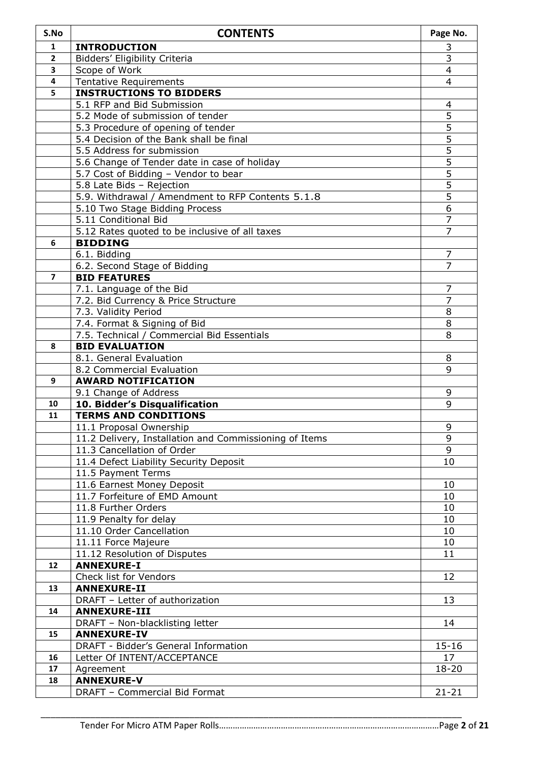| S.No                    | <b>CONTENTS</b>                                             | Page No.       |
|-------------------------|-------------------------------------------------------------|----------------|
| 1                       | <b>INTRODUCTION</b>                                         | 3              |
| $\mathbf{2}$            | Bidders' Eligibility Criteria                               | $\overline{3}$ |
| 3                       | Scope of Work                                               | 4              |
| $\overline{\mathbf{4}}$ | <b>Tentative Requirements</b>                               | 4              |
| 5                       | <b>INSTRUCTIONS TO BIDDERS</b>                              |                |
|                         | 5.1 RFP and Bid Submission                                  | 4              |
|                         | 5.2 Mode of submission of tender                            | 5              |
|                         | 5.3 Procedure of opening of tender                          | 5              |
|                         | 5.4 Decision of the Bank shall be final                     | 5              |
|                         | 5.5 Address for submission                                  | 5              |
|                         | 5.6 Change of Tender date in case of holiday                | $\overline{5}$ |
|                         | 5.7 Cost of Bidding - Vendor to bear                        | 5              |
|                         | 5.8 Late Bids - Rejection                                   | $\overline{5}$ |
|                         | 5.9. Withdrawal / Amendment to RFP Contents 5.1.8           | $\overline{5}$ |
|                         | 5.10 Two Stage Bidding Process                              | 6              |
|                         | 5.11 Conditional Bid                                        | $\overline{7}$ |
|                         | 5.12 Rates quoted to be inclusive of all taxes              | $\overline{7}$ |
| 6                       | <b>BIDDING</b>                                              |                |
|                         | 6.1. Bidding                                                | 7              |
| $\overline{7}$          | 6.2. Second Stage of Bidding                                | 7              |
|                         | <b>BID FEATURES</b>                                         | $\overline{7}$ |
|                         | 7.1. Language of the Bid                                    | $\overline{7}$ |
|                         | 7.2. Bid Currency & Price Structure<br>7.3. Validity Period | 8              |
|                         | 7.4. Format & Signing of Bid                                | 8              |
|                         | 7.5. Technical / Commercial Bid Essentials                  | 8              |
| 8                       | <b>BID EVALUATION</b>                                       |                |
|                         | 8.1. General Evaluation                                     | 8              |
|                         | 8.2 Commercial Evaluation                                   | 9              |
| 9                       | <b>AWARD NOTIFICATION</b>                                   |                |
|                         | 9.1 Change of Address                                       | 9              |
| 10                      | 10. Bidder's Disqualification                               | 9              |
| 11                      | <b>TERMS AND CONDITIONS</b>                                 |                |
|                         | 11.1 Proposal Ownership                                     | 9              |
|                         | 11.2 Delivery, Installation and Commissioning of Items      | 9              |
|                         | 11.3 Cancellation of Order                                  | 9              |
|                         | 11.4 Defect Liability Security Deposit                      | 10             |
|                         | 11.5 Payment Terms                                          |                |
|                         | 11.6 Earnest Money Deposit                                  | 10             |
|                         | 11.7 Forfeiture of EMD Amount                               | 10             |
|                         | 11.8 Further Orders                                         | 10             |
|                         | 11.9 Penalty for delay                                      | 10             |
|                         | 11.10 Order Cancellation                                    | 10             |
|                         | 11.11 Force Majeure                                         | 10             |
|                         | 11.12 Resolution of Disputes                                | 11             |
| 12                      | <b>ANNEXURE-I</b>                                           |                |
| 13                      | Check list for Vendors<br><b>ANNEXURE-II</b>                | 12             |
|                         | DRAFT - Letter of authorization                             | 13             |
| 14                      | <b>ANNEXURE-III</b>                                         |                |
|                         | DRAFT - Non-blacklisting letter                             | 14             |
| 15                      | <b>ANNEXURE-IV</b>                                          |                |
|                         | DRAFT - Bidder's General Information                        | $15 - 16$      |
| 16                      | Letter Of INTENT/ACCEPTANCE                                 | 17             |
| 17                      | Agreement                                                   | 18-20          |
| 18                      | <b>ANNEXURE-V</b>                                           |                |
|                         | DRAFT - Commercial Bid Format                               | $21 - 21$      |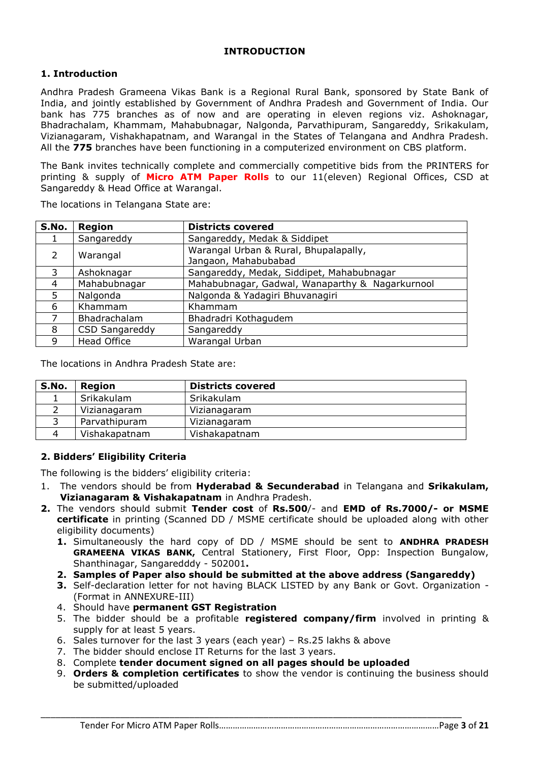#### **INTRODUCTION**

## **1. Introduction**

Andhra Pradesh Grameena Vikas Bank is a Regional Rural Bank, sponsored by State Bank of India, and jointly established by Government of Andhra Pradesh and Government of India. Our bank has 775 branches as of now and are operating in eleven regions viz. Ashoknagar, Bhadrachalam, Khammam, Mahabubnagar, Nalgonda, Parvathipuram, Sangareddy, Srikakulam, Vizianagaram, Vishakhapatnam, and Warangal in the States of Telangana and Andhra Pradesh. All the **775** branches have been functioning in a computerized environment on CBS platform.

The Bank invites technically complete and commercially competitive bids from the PRINTERS for printing & supply of **Micro ATM Paper Rolls** to our 11(eleven) Regional Offices, CSD at Sangareddy & Head Office at Warangal.

| S.No. | Region             | <b>Districts covered</b>                                      |
|-------|--------------------|---------------------------------------------------------------|
|       | Sangareddy         | Sangareddy, Medak & Siddipet                                  |
| 2     | Warangal           | Warangal Urban & Rural, Bhupalapally,<br>Jangaon, Mahabubabad |
| 3     | Ashoknagar         | Sangareddy, Medak, Siddipet, Mahabubnagar                     |
| 4     | Mahabubnagar       | Mahabubnagar, Gadwal, Wanaparthy & Nagarkurnool               |
| 5     | Nalgonda           | Nalgonda & Yadagiri Bhuvanagiri                               |
| 6     | Khammam            | Khammam                                                       |
|       | Bhadrachalam       | Bhadradri Kothagudem                                          |
| 8     | CSD Sangareddy     | Sangareddy                                                    |
| 9     | <b>Head Office</b> | Warangal Urban                                                |

The locations in Telangana State are:

The locations in Andhra Pradesh State are:

| S.No. | Region        | <b>Districts covered</b> |
|-------|---------------|--------------------------|
|       | Srikakulam    | Srikakulam               |
|       | Vizianagaram  | Vizianagaram             |
|       | Parvathipuram | Vizianagaram             |
|       | Vishakapatnam | Vishakapatnam            |

#### **2. Bidders' Eligibility Criteria**

The following is the bidders' eligibility criteria:

- 1. The vendors should be from **Hyderabad & Secunderabad** in Telangana and **Srikakulam, Vizianagaram & Vishakapatnam** in Andhra Pradesh.
- **2.** The vendors should submit **Tender cost** of **Rs.500**/- and **EMD of Rs.7000/- or MSME certificate** in printing (Scanned DD / MSME certificate should be uploaded along with other eligibility documents)
	- **1.** Simultaneously the hard copy of DD / MSME should be sent to **ANDHRA PRADESH GRAMEENA VIKAS BANK,** Central Stationery, First Floor, Opp: Inspection Bungalow, Shanthinagar, Sangaredddy - 502001**.**
	- **2. Samples of Paper also should be submitted at the above address (Sangareddy)**
	- **3.** Self-declaration letter for not having BLACK LISTED by any Bank or Govt. Organization (Format in ANNEXURE-III)
	- 4. Should have **permanent GST Registration**
	- 5. The bidder should be a profitable **registered company/firm** involved in printing & supply for at least 5 years.
	- 6. Sales turnover for the last 3 years (each year) Rs.25 lakhs & above
	- 7. The bidder should enclose IT Returns for the last 3 years.
	- 8. Complete **tender document signed on all pages should be uploaded**

\_\_\_\_\_\_\_\_\_\_\_\_\_\_\_\_\_\_\_\_\_\_\_\_\_\_\_\_\_\_\_\_\_\_\_\_\_\_\_\_\_\_\_\_\_\_\_\_\_\_\_\_\_\_\_\_\_\_\_\_\_\_\_\_\_\_\_\_\_\_\_\_\_\_\_\_\_\_\_\_\_\_\_\_\_

9. **Orders & completion certificates** to show the vendor is continuing the business should be submitted/uploaded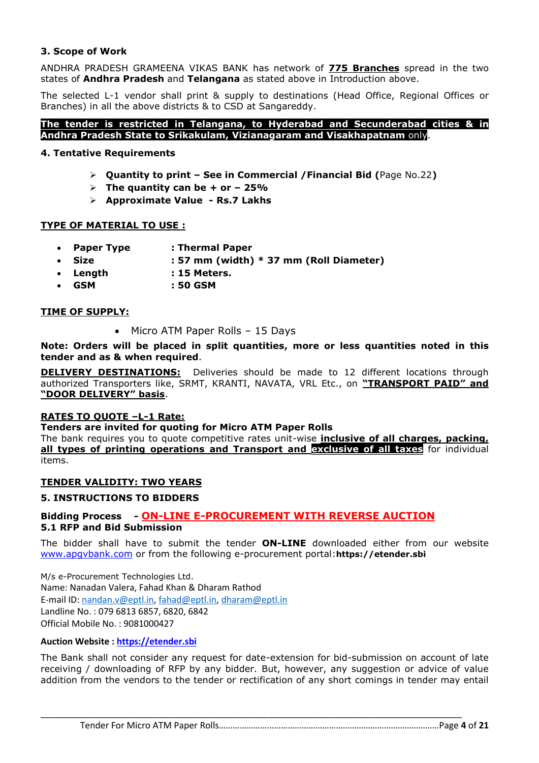#### **3. Scope of Work**

ANDHRA PRADESH GRAMEENA VIKAS BANK has network of **775 Branches** spread in the two states of **Andhra Pradesh** and **Telangana** as stated above in Introduction above.

The selected L-1 vendor shall print & supply to destinations (Head Office, Regional Offices or Branches) in all the above districts & to CSD at Sangareddy.

#### **The tender is restricted in Telangana, to Hyderabad and Secunderabad cities & in Andhra Pradesh State to Srikakulam, Vizianagaram and Visakhapatnam** only.

#### **4. Tentative Requirements**

- **Quantity to print – See in Commercial /Financial Bid (**Page No.22**)**
- $\triangleright$  The quantity can be  $+$  or  $-$  25%
- **Approximate Value - Rs.7 Lakhs**

#### **TYPE OF MATERIAL TO USE :**

- **Paper Type : Thermal Paper**
- **Size : 57 mm (width) \* 37 mm (Roll Diameter)**
- **Length : 15 Meters.**
- **GSM : 50 GSM**

#### **TIME OF SUPPLY:**

• Micro ATM Paper Rolls - 15 Days

#### **Note: Orders will be placed in split quantities, more or less quantities noted in this tender and as & when required**.

**DELIVERY DESTINATIONS:** Deliveries should be made to 12 different locations through authorized Transporters like, SRMT, KRANTI, NAVATA, VRL Etc., on **"TRANSPORT PAID" and "DOOR DELIVERY" basis**.

#### **RATES TO QUOTE –L-1 Rate:**

#### **Tenders are invited for quoting for Micro ATM Paper Rolls**

The bank requires you to quote competitive rates unit-wise **inclusive of all charges, packing, all types of printing operations and Transport and exclusive of all taxes** for individual items.

#### **TENDER VALIDITY: TWO YEARS**

#### **5. INSTRUCTIONS TO BIDDERS**

#### **Bidding Process - ON-LINE E-PROCUREMENT WITH REVERSE AUCTION 5.1 RFP and Bid Submission**

The bidder shall have to submit the tender **ON-LINE** downloaded either from our website [www.apgvbank.com](http://www.apgvbank.com/) or from the following e-procurement portal:**https://etender.sbi**

M/s e-Procurement Technologies Ltd. Name: Nanadan Valera, Fahad Khan & Dharam Rathod E-mail ID: [nandan.v@eptl.in,](mailto:nandan.v@eptl.in) [fahad@eptl.in,](mailto:fahad@eptl.in) [dharam@eptl.in](mailto:dharam@eptl.in) Landline No. : 079 6813 6857, 6820, 6842 Official Mobile No. : 9081000427

#### **Auction Website : [https://etender.sbi](https://etender.sbi/)**

The Bank shall not consider any request for date-extension for bid-submission on account of late receiving / downloading of RFP by any bidder. But, however, any suggestion or advice of value addition from the vendors to the tender or rectification of any short comings in tender may entail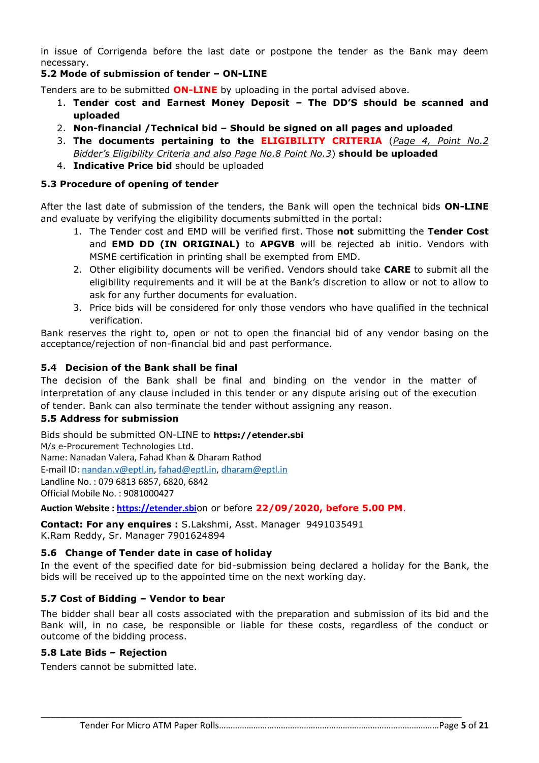in issue of Corrigenda before the last date or postpone the tender as the Bank may deem necessary.

### **5.2 Mode of submission of tender – ON-LINE**

Tenders are to be submitted **ON-LINE** by uploading in the portal advised above.

- 1. **Tender cost and Earnest Money Deposit – The DD'S should be scanned and uploaded**
- 2. **Non-financial /Technical bid – Should be signed on all pages and uploaded**
- 3. **The documents pertaining to the ELIGIBILITY CRITERIA** (*Page 4, Point No.2 Bidder's Eligibility Criteria and also Page No.8 Point No.3*) **should be uploaded**
- 4. **Indicative Price bid** should be uploaded

### **5.3 Procedure of opening of tender**

After the last date of submission of the tenders, the Bank will open the technical bids **ON-LINE** and evaluate by verifying the eligibility documents submitted in the portal:

- 1. The Tender cost and EMD will be verified first. Those **not** submitting the **Tender Cost** and **EMD DD (IN ORIGINAL)** to **APGVB** will be rejected ab initio. Vendors with MSME certification in printing shall be exempted from EMD.
- 2. Other eligibility documents will be verified. Vendors should take **CARE** to submit all the eligibility requirements and it will be at the Bank's discretion to allow or not to allow to ask for any further documents for evaluation.
- 3. Price bids will be considered for only those vendors who have qualified in the technical verification.

Bank reserves the right to, open or not to open the financial bid of any vendor basing on the acceptance/rejection of non-financial bid and past performance.

## **5.4 Decision of the Bank shall be final**

The decision of the Bank shall be final and binding on the vendor in the matter of interpretation of any clause included in this tender or any dispute arising out of the execution of tender. Bank can also terminate the tender without assigning any reason.

#### **5.5 Address for submission**

Bids should be submitted ON-LINE to **https://etender.sbi** M/s e-Procurement Technologies Ltd. Name: Nanadan Valera, Fahad Khan & Dharam Rathod E-mail ID: [nandan.v@eptl.in,](mailto:nandan.v@eptl.in) [fahad@eptl.in,](mailto:fahad@eptl.in) [dharam@eptl.in](mailto:dharam@eptl.in) Landline No. : 079 6813 6857, 6820, 6842 Official Mobile No. : 9081000427

**Auction Website : [https://etender.sbi](https://etender.sbi/)**on or before **22/09/2020, before 5.00 PM**.

**Contact: For any enquires :** S.Lakshmi, Asst. Manager 9491035491 K.Ram Reddy, Sr. Manager 7901624894

#### **5.6 Change of Tender date in case of holiday**

In the event of the specified date for bid-submission being declared a holiday for the Bank, the bids will be received up to the appointed time on the next working day.

#### **5.7 Cost of Bidding – Vendor to bear**

The bidder shall bear all costs associated with the preparation and submission of its bid and the Bank will, in no case, be responsible or liable for these costs, regardless of the conduct or outcome of the bidding process.

\_\_\_\_\_\_\_\_\_\_\_\_\_\_\_\_\_\_\_\_\_\_\_\_\_\_\_\_\_\_\_\_\_\_\_\_\_\_\_\_\_\_\_\_\_\_\_\_\_\_\_\_\_\_\_\_\_\_\_\_\_\_\_\_\_\_\_\_\_\_\_\_\_\_\_\_\_\_\_\_\_\_\_\_\_

#### **5.8 Late Bids – Rejection**

Tenders cannot be submitted late.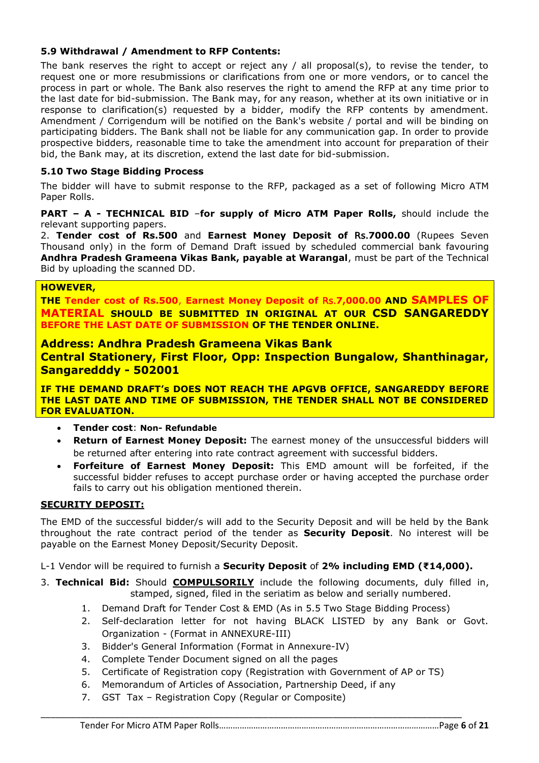#### **5.9 Withdrawal / Amendment to RFP Contents:**

The bank reserves the right to accept or reject any / all proposal(s), to revise the tender, to request one or more resubmissions or clarifications from one or more vendors, or to cancel the process in part or whole. The Bank also reserves the right to amend the RFP at any time prior to the last date for bid-submission. The Bank may, for any reason, whether at its own initiative or in response to clarification(s) requested by a bidder, modify the RFP contents by amendment. Amendment / Corrigendum will be notified on the Bank's website / portal and will be binding on participating bidders. The Bank shall not be liable for any communication gap. In order to provide prospective bidders, reasonable time to take the amendment into account for preparation of their bid, the Bank may, at its discretion, extend the last date for bid-submission.

### **5.10 Two Stage Bidding Process**

The bidder will have to submit response to the RFP, packaged as a set of following Micro ATM Paper Rolls.

**PART – A - TECHNICAL BID** –**for supply of Micro ATM Paper Rolls,** should include the relevant supporting papers.

2. **Tender cost of Rs.500** and **Earnest Money Deposit of** Rs.**7000.00** (Rupees Seven Thousand only) in the form of Demand Draft issued by scheduled commercial bank favouring **Andhra Pradesh Grameena Vikas Bank, payable at Warangal**, must be part of the Technical Bid by uploading the scanned DD.

#### **HOWEVER,**

**THE Tender cost of Rs.500**, **Earnest Money Deposit of** Rs.**7,000.00 AND SAMPLES OF MATERIAL SHOULD BE SUBMITTED IN ORIGINAL AT OUR CSD SANGAREDDY BEFORE THE LAST DATE OF SUBMISSION OF THE TENDER ONLINE.**

#### **Address: Andhra Pradesh Grameena Vikas Bank**

**Central Stationery, First Floor, Opp: Inspection Bungalow, Shanthinagar, Sangaredddy - 502001**

**IF THE DEMAND DRAFT's DOES NOT REACH THE APGVB OFFICE, SANGAREDDY BEFORE THE LAST DATE AND TIME OF SUBMISSION, THE TENDER SHALL NOT BE CONSIDERED FOR EVALUATION.**

- **Tender cost**: **Non- Refundable**
- **Return of Earnest Money Deposit:** The earnest money of the unsuccessful bidders will be returned after entering into rate contract agreement with successful bidders.
- **Forfeiture of Earnest Money Deposit:** This EMD amount will be forfeited, if the successful bidder refuses to accept purchase order or having accepted the purchase order fails to carry out his obligation mentioned therein.

#### **SECURITY DEPOSIT:**

The EMD of the successful bidder/s will add to the Security Deposit and will be held by the Bank throughout the rate contract period of the tender as **Security Deposit**. No interest will be payable on the Earnest Money Deposit/Security Deposit.

L-1 Vendor will be required to furnish a **Security Deposit** of **2% including EMD (₹14,000).**

- 3. **Technical Bid:** Should **COMPULSORILY** include the following documents, duly filled in, stamped, signed, filed in the seriatim as below and serially numbered.
	- 1. Demand Draft for Tender Cost & EMD (As in 5.5 Two Stage Bidding Process)
	- 2. Self-declaration letter for not having BLACK LISTED by any Bank or Govt. Organization - (Format in ANNEXURE-III)
	- 3. Bidder's General Information (Format in Annexure-IV)
	- 4. Complete Tender Document signed on all the pages
	- 5. Certificate of Registration copy (Registration with Government of AP or TS)
	- 6. Memorandum of Articles of Association, Partnership Deed, if any

\_\_\_\_\_\_\_\_\_\_\_\_\_\_\_\_\_\_\_\_\_\_\_\_\_\_\_\_\_\_\_\_\_\_\_\_\_\_\_\_\_\_\_\_\_\_\_\_\_\_\_\_\_\_\_\_\_\_\_\_\_\_\_\_\_\_\_\_\_\_\_\_\_\_\_\_\_\_\_\_\_\_\_\_\_

7. GST Tax – Registration Copy (Regular or Composite)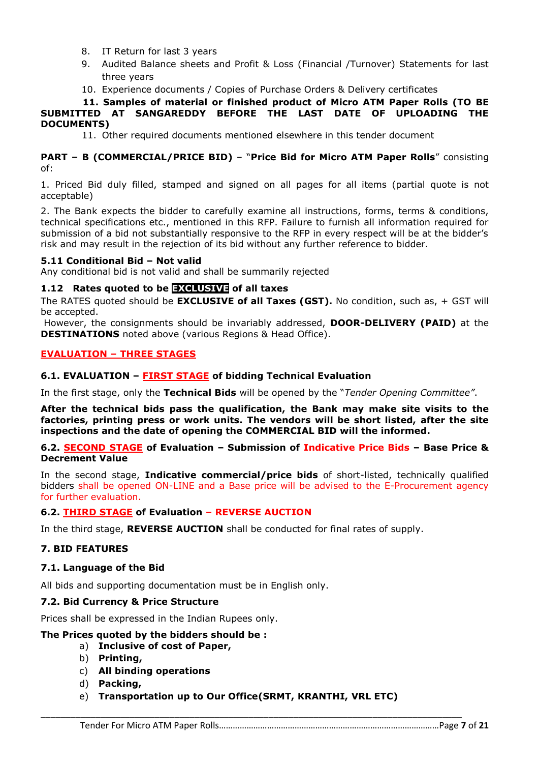- 8. IT Return for last 3 years
- 9. Audited Balance sheets and Profit & Loss (Financial /Turnover) Statements for last three years
- 10. Experience documents / Copies of Purchase Orders & Delivery certificates

#### **11. Samples of material or finished product of Micro ATM Paper Rolls (TO BE SUBMITTED AT SANGAREDDY BEFORE THE LAST DATE OF UPLOADING THE DOCUMENTS)**

11. Other required documents mentioned elsewhere in this tender document

**PART – B (COMMERCIAL/PRICE BID)** – "**Price Bid for Micro ATM Paper Rolls**" consisting of:

1. Priced Bid duly filled, stamped and signed on all pages for all items (partial quote is not acceptable)

2. The Bank expects the bidder to carefully examine all instructions, forms, terms & conditions, technical specifications etc., mentioned in this RFP. Failure to furnish all information required for submission of a bid not substantially responsive to the RFP in every respect will be at the bidder's risk and may result in the rejection of its bid without any further reference to bidder.

#### **5.11 Conditional Bid – Not valid**

Any conditional bid is not valid and shall be summarily rejected

#### **1.12 Rates quoted to be EXCLUSIVE of all taxes**

The RATES quoted should be **EXCLUSIVE of all Taxes (GST).** No condition, such as, + GST will be accepted.

However, the consignments should be invariably addressed, **DOOR-DELIVERY (PAID)** at the **DESTINATIONS** noted above (various Regions & Head Office).

#### **EVALUATION – THREE STAGES**

#### **6.1. EVALUATION – FIRST STAGE of bidding Technical Evaluation**

In the first stage, only the **Technical Bids** will be opened by the "*Tender Opening Committee"*.

**After the technical bids pass the qualification, the Bank may make site visits to the factories, printing press or work units. The vendors will be short listed, after the site inspections and the date of opening the COMMERCIAL BID will the informed.**

**6.2. SECOND STAGE of Evaluation – Submission of Indicative Price Bids – Base Price & Decrement Value**

In the second stage, **Indicative commercial/price bids** of short-listed, technically qualified bidders shall be opened ON-LINE and a Base price will be advised to the E-Procurement agency for further evaluation.

#### **6.2. THIRD STAGE of Evaluation – REVERSE AUCTION**

In the third stage, **REVERSE AUCTION** shall be conducted for final rates of supply.

#### **7. BID FEATURES**

#### **7.1. Language of the Bid**

All bids and supporting documentation must be in English only.

#### **7.2. Bid Currency & Price Structure**

Prices shall be expressed in the Indian Rupees only.

#### **The Prices quoted by the bidders should be :**

- a) **Inclusive of cost of Paper,** 
	- b) **Printing,**
	- c) **All binding operations**
	- d) **Packing,**
	- e) **Transportation up to Our Office(SRMT, KRANTHI, VRL ETC)**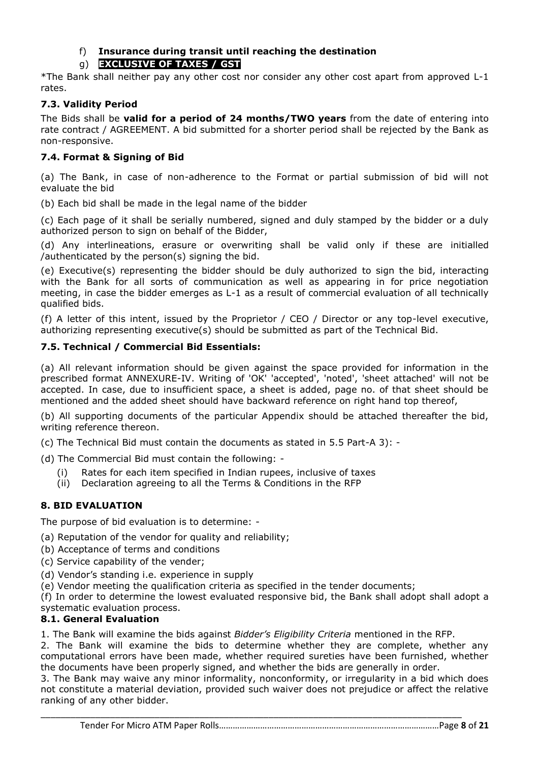## f) **Insurance during transit until reaching the destination**

## g) **EXCLUSIVE OF TAXES / GST**

\*The Bank shall neither pay any other cost nor consider any other cost apart from approved L-1 rates.

## **7.3. Validity Period**

The Bids shall be **valid for a period of 24 months/TWO years** from the date of entering into rate contract / AGREEMENT. A bid submitted for a shorter period shall be rejected by the Bank as non-responsive.

### **7.4. Format & Signing of Bid**

(a) The Bank, in case of non-adherence to the Format or partial submission of bid will not evaluate the bid

(b) Each bid shall be made in the legal name of the bidder

(c) Each page of it shall be serially numbered, signed and duly stamped by the bidder or a duly authorized person to sign on behalf of the Bidder,

(d) Any interlineations, erasure or overwriting shall be valid only if these are initialled /authenticated by the person(s) signing the bid.

(e) Executive(s) representing the bidder should be duly authorized to sign the bid, interacting with the Bank for all sorts of communication as well as appearing in for price negotiation meeting, in case the bidder emerges as L-1 as a result of commercial evaluation of all technically qualified bids.

(f) A letter of this intent, issued by the Proprietor / CEO / Director or any top-level executive, authorizing representing executive(s) should be submitted as part of the Technical Bid.

#### **7.5. Technical / Commercial Bid Essentials:**

(a) All relevant information should be given against the space provided for information in the prescribed format ANNEXURE-IV. Writing of 'OK' 'accepted', 'noted', 'sheet attached' will not be accepted. In case, due to insufficient space, a sheet is added, page no. of that sheet should be mentioned and the added sheet should have backward reference on right hand top thereof,

(b) All supporting documents of the particular Appendix should be attached thereafter the bid, writing reference thereon.

(c) The Technical Bid must contain the documents as stated in 5.5 Part-A 3): -

- (d) The Commercial Bid must contain the following:
	- (i) Rates for each item specified in Indian rupees, inclusive of taxes
	- (ii) Declaration agreeing to all the Terms & Conditions in the RFP

## **8. BID EVALUATION**

The purpose of bid evaluation is to determine: -

- (a) Reputation of the vendor for quality and reliability;
- (b) Acceptance of terms and conditions
- (c) Service capability of the vender;
- (d) Vendor's standing i.e. experience in supply
- (e) Vendor meeting the qualification criteria as specified in the tender documents;

(f) In order to determine the lowest evaluated responsive bid, the Bank shall adopt shall adopt a systematic evaluation process.

## **8.1. General Evaluation**

1. The Bank will examine the bids against *Bidder's Eligibility Criteria* mentioned in the RFP.

2. The Bank will examine the bids to determine whether they are complete, whether any computational errors have been made, whether required sureties have been furnished, whether the documents have been properly signed, and whether the bids are generally in order.

3. The Bank may waive any minor informality, nonconformity, or irregularity in a bid which does not constitute a material deviation, provided such waiver does not prejudice or affect the relative ranking of any other bidder.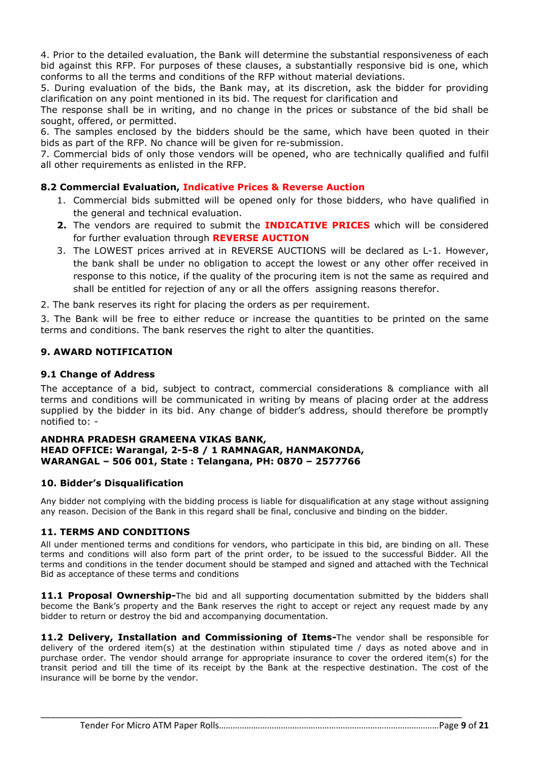4. Prior to the detailed evaluation, the Bank will determine the substantial responsiveness of each bid against this RFP. For purposes of these clauses, a substantially responsive bid is one, which conforms to all the terms and conditions of the RFP without material deviations.

5. During evaluation of the bids, the Bank may, at its discretion, ask the bidder for providing clarification on any point mentioned in its bid. The request for clarification and

The response shall be in writing, and no change in the prices or substance of the bid shall be sought, offered, or permitted.

6. The samples enclosed by the bidders should be the same, which have been quoted in their bids as part of the RFP. No chance will be given for re-submission.

7. Commercial bids of only those vendors will be opened, who are technically qualified and fulfil all other requirements as enlisted in the RFP.

#### **8.2 Commercial Evaluation, Indicative Prices & Reverse Auction**

- 1. Commercial bids submitted will be opened only for those bidders, who have qualified in the general and technical evaluation.
- **2.** The vendors are required to submit the **INDICATIVE PRICES** which will be considered for further evaluation through **REVERSE AUCTION**
- 3. The LOWEST prices arrived at in REVERSE AUCTIONS will be declared as L-1. However, the bank shall be under no obligation to accept the lowest or any other offer received in response to this notice, if the quality of the procuring item is not the same as required and shall be entitled for rejection of any or all the offers assigning reasons therefor.

2. The bank reserves its right for placing the orders as per requirement.

3. The Bank will be free to either reduce or increase the quantities to be printed on the same terms and conditions. The bank reserves the right to alter the quantities.

#### **9. AWARD NOTIFICATION**

#### **9.1 Change of Address**

The acceptance of a bid, subject to contract, commercial considerations & compliance with all terms and conditions will be communicated in writing by means of placing order at the address supplied by the bidder in its bid. Any change of bidder's address, should therefore be promptly notified to: -

#### **ANDHRA PRADESH GRAMEENA VIKAS BANK, HEAD OFFICE: Warangal, 2-5-8 / 1 RAMNAGAR, HANMAKONDA, WARANGAL – 506 001, State : Telangana, PH: 0870 – 2577766**

#### **10. Bidder's Disqualification**

Any bidder not complying with the bidding process is liable for disqualification at any stage without assigning any reason. Decision of the Bank in this regard shall be final, conclusive and binding on the bidder.

#### **11. TERMS AND CONDITIONS**

All under mentioned terms and conditions for vendors, who participate in this bid, are binding on all. These terms and conditions will also form part of the print order, to be issued to the successful Bidder. All the terms and conditions in the tender document should be stamped and signed and attached with the Technical Bid as acceptance of these terms and conditions

11.1 **Proposal Ownership-**The bid and all supporting documentation submitted by the bidders shall become the Bank's property and the Bank reserves the right to accept or reject any request made by any bidder to return or destroy the bid and accompanying documentation.

**11.2 Delivery, Installation and Commissioning of Items-**The vendor shall be responsible for delivery of the ordered item(s) at the destination within stipulated time / days as noted above and in purchase order. The vendor should arrange for appropriate insurance to cover the ordered item(s) for the transit period and till the time of its receipt by the Bank at the respective destination. The cost of the insurance will be borne by the vendor.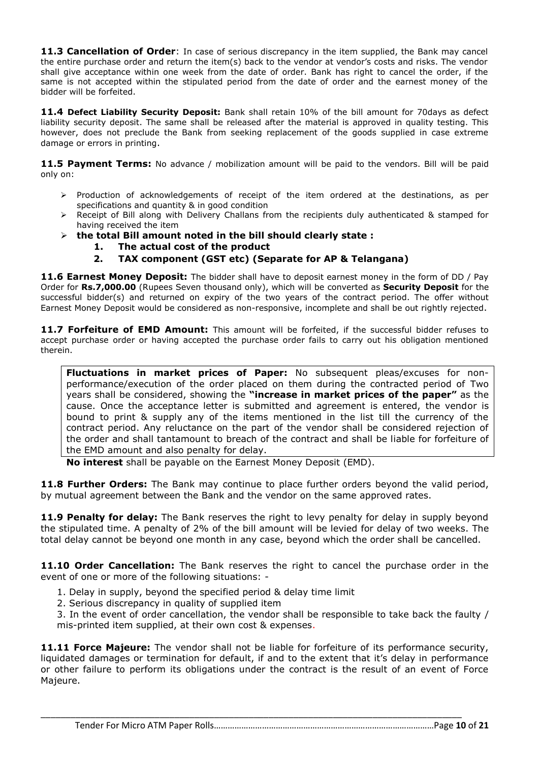**11.3 Cancellation of Order**: In case of serious discrepancy in the item supplied, the Bank may cancel the entire purchase order and return the item(s) back to the vendor at vendor's costs and risks. The vendor shall give acceptance within one week from the date of order. Bank has right to cancel the order, if the same is not accepted within the stipulated period from the date of order and the earnest money of the bidder will be forfeited.

**11.4 Defect Liability Security Deposit:** Bank shall retain 10% of the bill amount for 70days as defect liability security deposit. The same shall be released after the material is approved in quality testing. This however, does not preclude the Bank from seeking replacement of the goods supplied in case extreme damage or errors in printing.

**11.5 Payment Terms:** No advance / mobilization amount will be paid to the vendors. Bill will be paid only on:

- $\triangleright$  Production of acknowledgements of receipt of the item ordered at the destinations, as per specifications and quantity & in good condition
- $\triangleright$  Receipt of Bill along with Delivery Challans from the recipients duly authenticated & stamped for having received the item
- **the total Bill amount noted in the bill should clearly state :**
	- **1. The actual cost of the product**
	- **2. TAX component (GST etc) (Separate for AP & Telangana)**

**11.6 Earnest Money Deposit:** The bidder shall have to deposit earnest money in the form of DD / Pay Order for **Rs.7,000.00** (Rupees Seven thousand only), which will be converted as **Security Deposit** for the successful bidder(s) and returned on expiry of the two years of the contract period. The offer without Earnest Money Deposit would be considered as non-responsive, incomplete and shall be out rightly rejected.

11.7 Forfeiture of EMD Amount: This amount will be forfeited, if the successful bidder refuses to accept purchase order or having accepted the purchase order fails to carry out his obligation mentioned therein.

**Fluctuations in market prices of Paper:** No subsequent pleas/excuses for nonperformance/execution of the order placed on them during the contracted period of Two years shall be considered, showing the **"increase in market prices of the paper"** as the cause. Once the acceptance letter is submitted and agreement is entered, the vendor is bound to print & supply any of the items mentioned in the list till the currency of the contract period. Any reluctance on the part of the vendor shall be considered rejection of the order and shall tantamount to breach of the contract and shall be liable for forfeiture of the EMD amount and also penalty for delay.

**No interest** shall be payable on the Earnest Money Deposit (EMD).

**11.8 Further Orders:** The Bank may continue to place further orders beyond the valid period, by mutual agreement between the Bank and the vendor on the same approved rates.

**11.9 Penalty for delay:** The Bank reserves the right to levy penalty for delay in supply beyond the stipulated time. A penalty of 2% of the bill amount will be levied for delay of two weeks. The total delay cannot be beyond one month in any case, beyond which the order shall be cancelled.

**11.10 Order Cancellation:** The Bank reserves the right to cancel the purchase order in the event of one or more of the following situations: -

- 1. Delay in supply, beyond the specified period & delay time limit
- 2. Serious discrepancy in quality of supplied item

3. In the event of order cancellation, the vendor shall be responsible to take back the faulty / mis-printed item supplied, at their own cost & expenses.

**11.11 Force Majeure:** The vendor shall not be liable for forfeiture of its performance security, liquidated damages or termination for default, if and to the extent that it's delay in performance or other failure to perform its obligations under the contract is the result of an event of Force Majeure.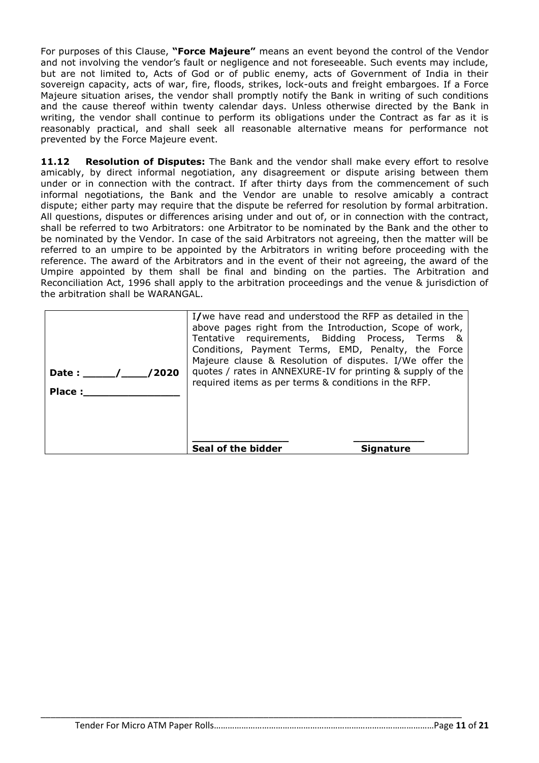For purposes of this Clause, **"Force Majeure"** means an event beyond the control of the Vendor and not involving the vendor's fault or negligence and not foreseeable. Such events may include, but are not limited to, Acts of God or of public enemy, acts of Government of India in their sovereign capacity, acts of war, fire, floods, strikes, lock-outs and freight embargoes. If a Force Majeure situation arises, the vendor shall promptly notify the Bank in writing of such conditions and the cause thereof within twenty calendar days. Unless otherwise directed by the Bank in writing, the vendor shall continue to perform its obligations under the Contract as far as it is reasonably practical, and shall seek all reasonable alternative means for performance not prevented by the Force Majeure event.

**11.12 Resolution of Disputes:** The Bank and the vendor shall make every effort to resolve amicably, by direct informal negotiation, any disagreement or dispute arising between them under or in connection with the contract. If after thirty days from the commencement of such informal negotiations, the Bank and the Vendor are unable to resolve amicably a contract dispute; either party may require that the dispute be referred for resolution by formal arbitration. All questions, disputes or differences arising under and out of, or in connection with the contract, shall be referred to two Arbitrators: one Arbitrator to be nominated by the Bank and the other to be nominated by the Vendor. In case of the said Arbitrators not agreeing, then the matter will be referred to an umpire to be appointed by the Arbitrators in writing before proceeding with the reference. The award of the Arbitrators and in the event of their not agreeing, the award of the Umpire appointed by them shall be final and binding on the parties. The Arbitration and Reconciliation Act, 1996 shall apply to the arbitration proceedings and the venue & jurisdiction of the arbitration shall be WARANGAL.

| /2020<br>Date :<br>Place: | I/we have read and understood the RFP as detailed in the<br>above pages right from the Introduction, Scope of work,<br>Tentative requirements, Bidding Process, Terms &<br>Conditions, Payment Terms, EMD, Penalty, the Force<br>Majeure clause & Resolution of disputes. I/We offer the<br>quotes / rates in ANNEXURE-IV for printing & supply of the<br>required items as per terms & conditions in the RFP. |
|---------------------------|----------------------------------------------------------------------------------------------------------------------------------------------------------------------------------------------------------------------------------------------------------------------------------------------------------------------------------------------------------------------------------------------------------------|
|                           | Seal of the bidder<br><b>Signature</b>                                                                                                                                                                                                                                                                                                                                                                         |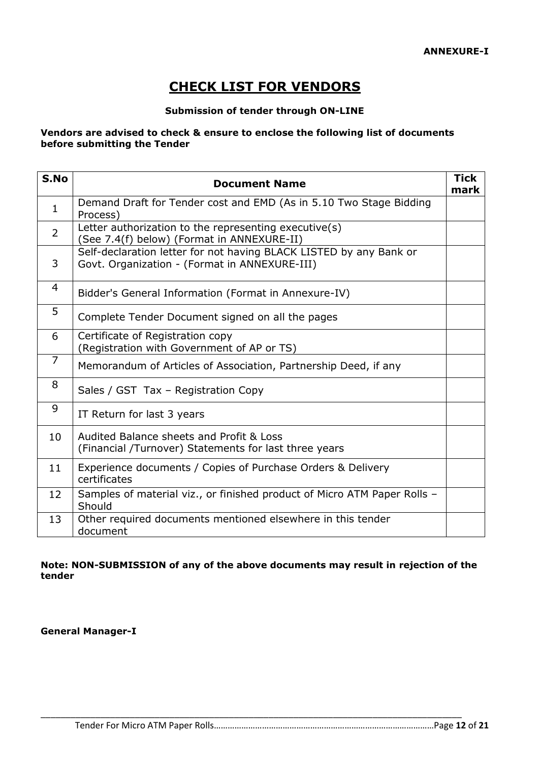# **CHECK LIST FOR VENDORS**

#### **Submission of tender through ON-LINE**

#### **Vendors are advised to check & ensure to enclose the following list of documents before submitting the Tender**

| S.No           | <b>Document Name</b>                                                                                                | <b>Tick</b><br>mark |
|----------------|---------------------------------------------------------------------------------------------------------------------|---------------------|
| $\mathbf{1}$   | Demand Draft for Tender cost and EMD (As in 5.10 Two Stage Bidding<br>Process)                                      |                     |
| $\overline{2}$ | Letter authorization to the representing executive(s)<br>(See 7.4(f) below) (Format in ANNEXURE-II)                 |                     |
| 3              | Self-declaration letter for not having BLACK LISTED by any Bank or<br>Govt. Organization - (Format in ANNEXURE-III) |                     |
| 4              | Bidder's General Information (Format in Annexure-IV)                                                                |                     |
| 5              | Complete Tender Document signed on all the pages                                                                    |                     |
| 6              | Certificate of Registration copy<br>(Registration with Government of AP or TS)                                      |                     |
| $\overline{7}$ | Memorandum of Articles of Association, Partnership Deed, if any                                                     |                     |
| 8              | Sales / GST Tax - Registration Copy                                                                                 |                     |
| 9              | IT Return for last 3 years                                                                                          |                     |
| 10             | Audited Balance sheets and Profit & Loss<br>(Financial /Turnover) Statements for last three years                   |                     |
| 11             | Experience documents / Copies of Purchase Orders & Delivery<br>certificates                                         |                     |
| 12             | Samples of material viz., or finished product of Micro ATM Paper Rolls -<br>Should                                  |                     |
| 13             | Other required documents mentioned elsewhere in this tender<br>document                                             |                     |

#### **Note: NON-SUBMISSION of any of the above documents may result in rejection of the tender**

\_\_\_\_\_\_\_\_\_\_\_\_\_\_\_\_\_\_\_\_\_\_\_\_\_\_\_\_\_\_\_\_\_\_\_\_\_\_\_\_\_\_\_\_\_\_\_\_\_\_\_\_\_\_\_\_\_\_\_\_\_\_\_\_\_\_\_\_\_\_\_\_\_\_\_\_\_\_\_\_\_\_\_\_\_

**General Manager-I**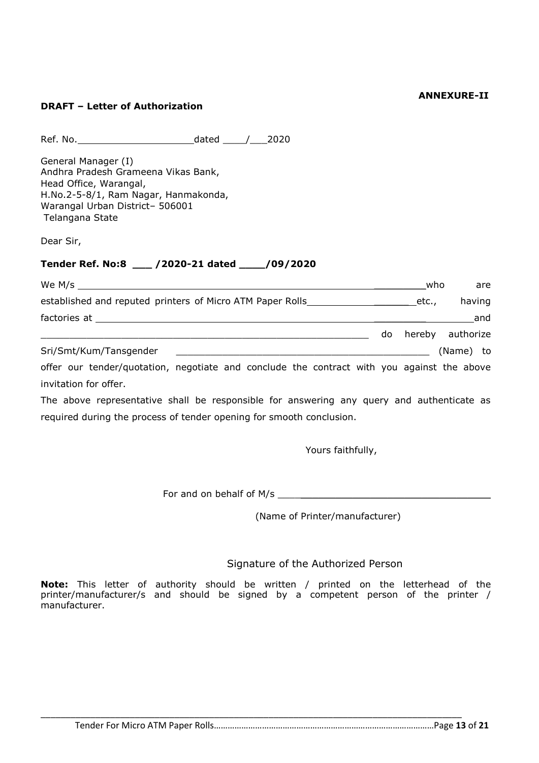#### **ANNEXURE-II**

#### **DRAFT – Letter of Authorization**

Ref. No. dated \_\_\_\_/\_\_\_2020

General Manager (I) Andhra Pradesh Grameena Vikas Bank, Head Office, Warangal, H.No.2-5-8/1, Ram Nagar, Hanmakonda, Warangal Urban District– 506001 Telangana State

Dear Sir,

## **Tender Ref. No:8 \_\_\_ /2020-21 dated \_\_\_\_/09/2020**

| We M/s                                                                                     |    | who   | are              |
|--------------------------------------------------------------------------------------------|----|-------|------------------|
| established and reputed printers of Micro ATM Paper Rolls ________________                 |    | etc., | having           |
|                                                                                            |    |       | and              |
|                                                                                            | do |       | hereby authorize |
| Sri/Smt/Kum/Tansgender                                                                     |    |       | (Name) to        |
| offer our tender/quotation, negotiate and conclude the contract with you against the above |    |       |                  |

invitation for offer. The above representative shall be responsible for answering any query and authenticate as

required during the process of tender opening for smooth conclusion.

Yours faithfully,

For and on behalf of M/s \_\_\_\_\_\_\_\_\_\_\_\_\_\_\_\_\_\_\_\_\_\_\_\_\_\_\_\_\_\_\_\_\_\_\_\_\_

(Name of Printer/manufacturer)

#### Signature of the Authorized Person

**Note:** This letter of authority should be written / printed on the letterhead of the printer/manufacturer/s and should be signed by a competent person of the printer / manufacturer.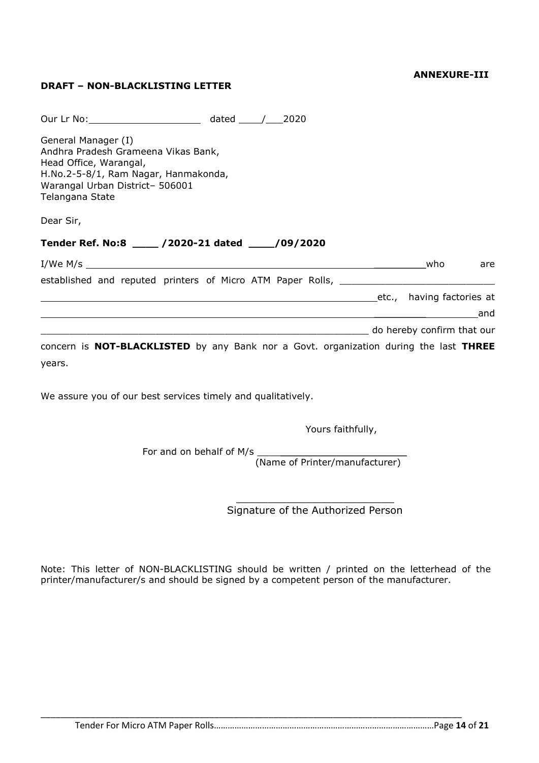#### **ANNEXURE-III**

## **DRAFT – NON-BLACKLISTING LETTER**

| Our Lr No: 2020                                                                                                                                                                    |  |                           |     |     |
|------------------------------------------------------------------------------------------------------------------------------------------------------------------------------------|--|---------------------------|-----|-----|
| General Manager (I)<br>Andhra Pradesh Grameena Vikas Bank,<br>Head Office, Warangal,<br>H.No.2-5-8/1, Ram Nagar, Hanmakonda,<br>Warangal Urban District- 506001<br>Telangana State |  |                           |     |     |
| Dear Sir,                                                                                                                                                                          |  |                           |     |     |
| Tender Ref. No:8 ____ /2020-21 dated ___ /09/2020                                                                                                                                  |  |                           |     |     |
| I/We M/s $\overline{\phantom{a}}$                                                                                                                                                  |  |                           | who | are |
| established and reputed printers of Micro ATM Paper Rolls, _____________________                                                                                                   |  |                           |     |     |
|                                                                                                                                                                                    |  | etc., having factories at |     |     |
| ,我们也不会有什么。""我们的人,我们也不会有什么?""我们的人,我们也不会有什么?""我们的人,我们也不会有什么?""我们的人,我们也不会有什么?""我们的人                                                                                                   |  |                           |     | and |
| do hereby confirm that our state of the control of the confirm that our state of the confirm that our                                                                              |  |                           |     |     |
| concern is <b>NOT-BLACKLISTED</b> by any Bank nor a Govt. organization during the last THREE                                                                                       |  |                           |     |     |
| years.                                                                                                                                                                             |  |                           |     |     |

We assure you of our best services timely and qualitatively.

Yours faithfully,

For and on behalf of M/s

(Name of Printer/manufacturer)

 $\mathcal{L}_\mathcal{L}$  , where  $\mathcal{L}_\mathcal{L}$  is the set of the set of the set of the set of the set of the set of the set of the set of the set of the set of the set of the set of the set of the set of the set of the set of the Signature of the Authorized Person

Note: This letter of NON-BLACKLISTING should be written / printed on the letterhead of the printer/manufacturer/s and should be signed by a competent person of the manufacturer.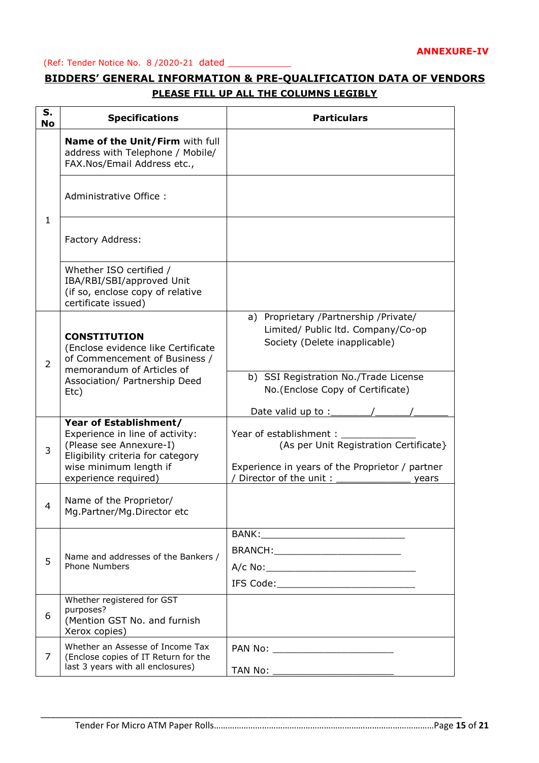#### (Ref: Tender Notice No. 8 /2020-21 dated \_\_\_\_\_\_\_\_\_\_\_

## **BIDDERS' GENERAL INFORMATION & PRE-QUALIFICATION DATA OF VENDORS PLEASE FILL UP ALL THE COLUMNS LEGIBLY**

| S.<br><b>No</b> | <b>Specifications</b>                                                                                                                               | <b>Particulars</b>                                                                                                                           |
|-----------------|-----------------------------------------------------------------------------------------------------------------------------------------------------|----------------------------------------------------------------------------------------------------------------------------------------------|
|                 | Name of the Unit/Firm with full<br>address with Telephone / Mobile/<br>FAX.Nos/Email Address etc.,                                                  |                                                                                                                                              |
| $\mathbf{1}$    | Administrative Office:                                                                                                                              |                                                                                                                                              |
|                 | Factory Address:                                                                                                                                    |                                                                                                                                              |
|                 | Whether ISO certified /<br>IBA/RBI/SBI/approved Unit<br>(if so, enclose copy of relative<br>certificate issued)                                     |                                                                                                                                              |
| $\overline{2}$  | <b>CONSTITUTION</b><br>(Enclose evidence like Certificate<br>of Commencement of Business /<br>memorandum of Articles of                             | a) Proprietary /Partnership /Private/<br>Limited/ Public ltd. Company/Co-op<br>Society (Delete inapplicable)                                 |
|                 | Association/ Partnership Deed<br>Etc)                                                                                                               | b) SSI Registration No./Trade License<br>No.(Enclose Copy of Certificate)<br>Date valid up to :_____                                         |
| 3               | Year of Establishment/<br>Experience in line of activity:<br>(Please see Annexure-I)<br>Eligibility criteria for category<br>wise minimum length if | Year of establishment:<br>(As per Unit Registration Certificate}<br>Experience in years of the Proprietor / partner<br>Director of the unit: |
| 4               | experience required)<br>Name of the Proprietor/<br>Mg.Partner/Mg.Director etc                                                                       | years                                                                                                                                        |
|                 |                                                                                                                                                     | BRANCH:____________________________                                                                                                          |
| 5               | Name and addresses of the Bankers /<br><b>Phone Numbers</b>                                                                                         |                                                                                                                                              |
| 6               | Whether registered for GST<br>purposes?<br>(Mention GST No. and furnish<br>Xerox copies)                                                            |                                                                                                                                              |
| 7               | Whether an Assesse of Income Tax<br>(Enclose copies of IT Return for the<br>last 3 years with all enclosures)                                       |                                                                                                                                              |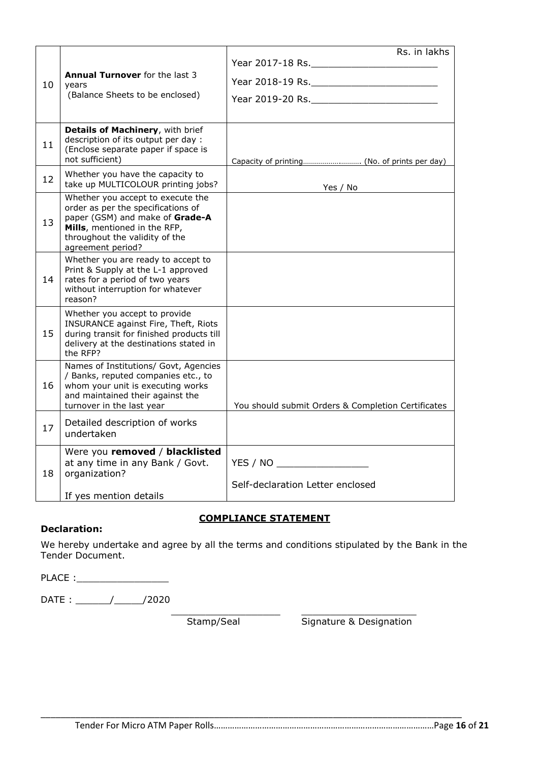|    |                                                                                                                                                                                                   | Rs. in lakhs                                       |
|----|---------------------------------------------------------------------------------------------------------------------------------------------------------------------------------------------------|----------------------------------------------------|
|    |                                                                                                                                                                                                   |                                                    |
| 10 | <b>Annual Turnover</b> for the last 3<br>years                                                                                                                                                    |                                                    |
|    | (Balance Sheets to be enclosed)                                                                                                                                                                   |                                                    |
|    |                                                                                                                                                                                                   |                                                    |
| 11 | Details of Machinery, with brief<br>description of its output per day :<br>(Enclose separate paper if space is<br>not sufficient)                                                                 |                                                    |
| 12 | Whether you have the capacity to<br>take up MULTICOLOUR printing jobs?                                                                                                                            | Yes / No                                           |
| 13 | Whether you accept to execute the<br>order as per the specifications of<br>paper (GSM) and make of Grade-A<br>Mills, mentioned in the RFP,<br>throughout the validity of the<br>agreement period? |                                                    |
| 14 | Whether you are ready to accept to<br>Print & Supply at the L-1 approved<br>rates for a period of two years<br>without interruption for whatever<br>reason?                                       |                                                    |
| 15 | Whether you accept to provide<br>INSURANCE against Fire, Theft, Riots<br>during transit for finished products till<br>delivery at the destinations stated in<br>the RFP?                          |                                                    |
| 16 | Names of Institutions/ Govt, Agencies<br>/ Banks, reputed companies etc., to<br>whom your unit is executing works<br>and maintained their against the<br>turnover in the last year                | You should submit Orders & Completion Certificates |
| 17 | Detailed description of works<br>undertaken                                                                                                                                                       |                                                    |
| 18 | Were you removed / blacklisted<br>at any time in any Bank / Govt.<br>organization?                                                                                                                | YES / NO                                           |
|    | If yes mention details                                                                                                                                                                            | Self-declaration Letter enclosed                   |

#### **COMPLIANCE STATEMENT**

\_\_\_\_\_\_\_\_\_\_\_\_\_\_\_\_\_\_\_ \_\_\_\_\_\_\_\_\_\_\_\_\_\_\_\_\_\_\_\_

#### **Declaration:**

We hereby undertake and agree by all the terms and conditions stipulated by the Bank in the Tender Document.

\_\_\_\_\_\_\_\_\_\_\_\_\_\_\_\_\_\_\_\_\_\_\_\_\_\_\_\_\_\_\_\_\_\_\_\_\_\_\_\_\_\_\_\_\_\_\_\_\_\_\_\_\_\_\_\_\_\_\_\_\_\_\_\_\_\_\_\_\_\_\_\_\_\_\_\_\_\_\_\_\_\_\_\_\_

PLACE :\_\_\_\_\_\_\_\_\_\_\_\_\_\_\_\_

 $DATE:$   $\frac{1}{2020}$ 

Stamp/Seal Signature & Designation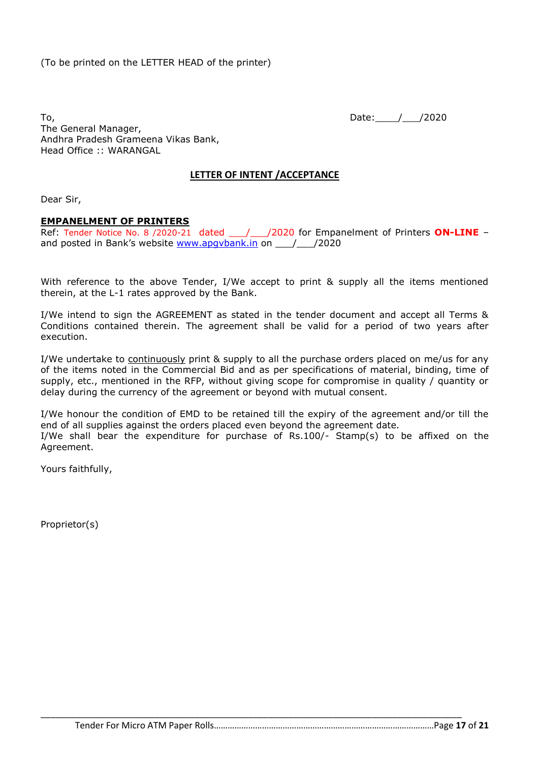To, 2020 The General Manager, Andhra Pradesh Grameena Vikas Bank, Head Office :: WARANGAL

## **LETTER OF INTENT /ACCEPTANCE**

Dear Sir,

#### **EMPANELMENT OF PRINTERS**

Ref: Tender Notice No. 8 /2020-21 dated 1/2020 for Empanelment of Printers ON-LINE and posted in Bank's website www.apgybank.in on  $\qquad$  / 2020

With reference to the above Tender, I/We accept to print & supply all the items mentioned therein, at the L-1 rates approved by the Bank.

I/We intend to sign the AGREEMENT as stated in the tender document and accept all Terms & Conditions contained therein. The agreement shall be valid for a period of two years after execution.

I/We undertake to continuously print & supply to all the purchase orders placed on me/us for any of the items noted in the Commercial Bid and as per specifications of material, binding, time of supply, etc., mentioned in the RFP, without giving scope for compromise in quality / quantity or delay during the currency of the agreement or beyond with mutual consent.

I/We honour the condition of EMD to be retained till the expiry of the agreement and/or till the end of all supplies against the orders placed even beyond the agreement date.

I/We shall bear the expenditure for purchase of  $Rs.100/-$  Stamp(s) to be affixed on the Agreement.

\_\_\_\_\_\_\_\_\_\_\_\_\_\_\_\_\_\_\_\_\_\_\_\_\_\_\_\_\_\_\_\_\_\_\_\_\_\_\_\_\_\_\_\_\_\_\_\_\_\_\_\_\_\_\_\_\_\_\_\_\_\_\_\_\_\_\_\_\_\_\_\_\_\_\_\_\_\_\_\_\_\_\_\_\_

Yours faithfully,

Proprietor(s)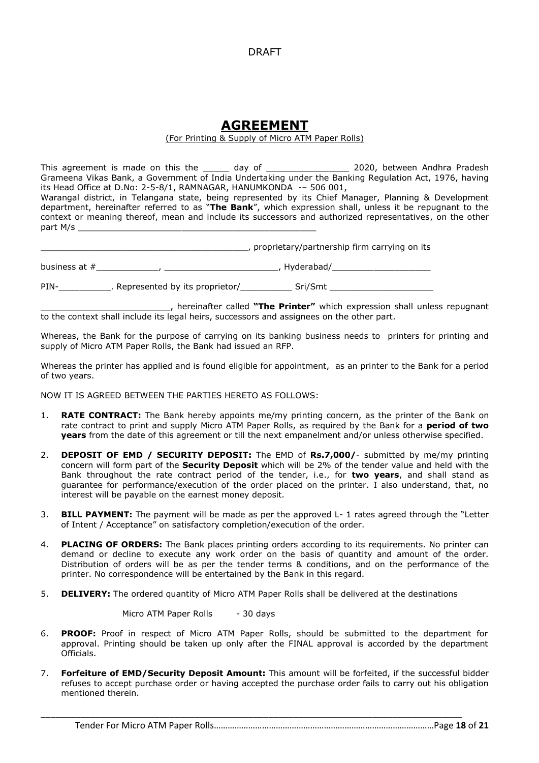#### DRAFT

## **AGREEMENT**

#### (For Printing & Supply of Micro ATM Paper Rolls)

This agreement is made on this the \_\_\_\_\_\_ day of \_\_\_\_\_\_\_\_\_\_\_\_\_\_\_\_\_\_\_\_\_\_\_\_\_\_\_\_\_\_\_ 2020, between Andhra Pradesh Grameena Vikas Bank, a Government of India Undertaking under the Banking Regulation Act, 1976, having its Head Office at D.No: 2-5-8/1, RAMNAGAR, HANUMKONDA -– 506 001,

Warangal district, in Telangana state, being represented by its Chief Manager, Planning & Development department, hereinafter referred to as "**The Bank**", which expression shall, unless it be repugnant to the context or meaning thereof, mean and include its successors and authorized representatives, on the other part M/s

\_\_\_\_\_\_\_\_\_\_\_\_\_\_\_\_\_\_\_\_\_\_\_\_\_\_\_\_\_\_\_\_\_\_\_\_\_\_\_\_, proprietary/partnership firm carrying on its business at #\_\_\_\_\_\_\_\_\_\_\_\_, \_\_\_\_\_\_\_\_\_\_\_\_\_\_\_\_\_\_\_\_\_\_, Hyderabad/\_\_\_\_\_\_\_\_\_\_\_\_\_\_\_\_\_\_\_

PIN-\_\_\_\_\_\_\_\_\_\_. Represented by its proprietor/\_\_\_\_\_\_\_\_\_\_ Sri/Smt \_\_\_\_\_\_\_\_\_\_\_\_\_\_\_\_\_\_\_\_

\_\_\_\_\_\_\_\_\_\_\_\_\_\_\_\_\_\_\_\_\_\_\_\_\_, hereinafter called **"The Printer"** which expression shall unless repugnant to the context shall include its legal heirs, successors and assignees on the other part.

Whereas, the Bank for the purpose of carrying on its banking business needs to printers for printing and supply of Micro ATM Paper Rolls, the Bank had issued an RFP.

Whereas the printer has applied and is found eligible for appointment, as an printer to the Bank for a period of two years.

NOW IT IS AGREED BETWEEN THE PARTIES HERETO AS FOLLOWS:

- 1. **RATE CONTRACT:** The Bank hereby appoints me/my printing concern, as the printer of the Bank on rate contract to print and supply Micro ATM Paper Rolls, as required by the Bank for a **period of two years** from the date of this agreement or till the next empanelment and/or unless otherwise specified.
- 2. **DEPOSIT OF EMD / SECURITY DEPOSIT:** The EMD of **Rs.7,000/** submitted by me/my printing concern will form part of the **Security Deposit** which will be 2% of the tender value and held with the Bank throughout the rate contract period of the tender, i.e., for **two years**, and shall stand as guarantee for performance/execution of the order placed on the printer. I also understand, that, no interest will be payable on the earnest money deposit.
- 3. **BILL PAYMENT:** The payment will be made as per the approved L- 1 rates agreed through the "Letter of Intent / Acceptance" on satisfactory completion/execution of the order.
- 4. **PLACING OF ORDERS:** The Bank places printing orders according to its requirements. No printer can demand or decline to execute any work order on the basis of quantity and amount of the order. Distribution of orders will be as per the tender terms & conditions, and on the performance of the printer. No correspondence will be entertained by the Bank in this regard.
- 5. **DELIVERY:** The ordered quantity of Micro ATM Paper Rolls shall be delivered at the destinations

Micro ATM Paper Rolls - 30 days

- 6. **PROOF:** Proof in respect of Micro ATM Paper Rolls, should be submitted to the department for approval. Printing should be taken up only after the FINAL approval is accorded by the department Officials.
- 7. **Forfeiture of EMD/Security Deposit Amount:** This amount will be forfeited, if the successful bidder refuses to accept purchase order or having accepted the purchase order fails to carry out his obligation mentioned therein.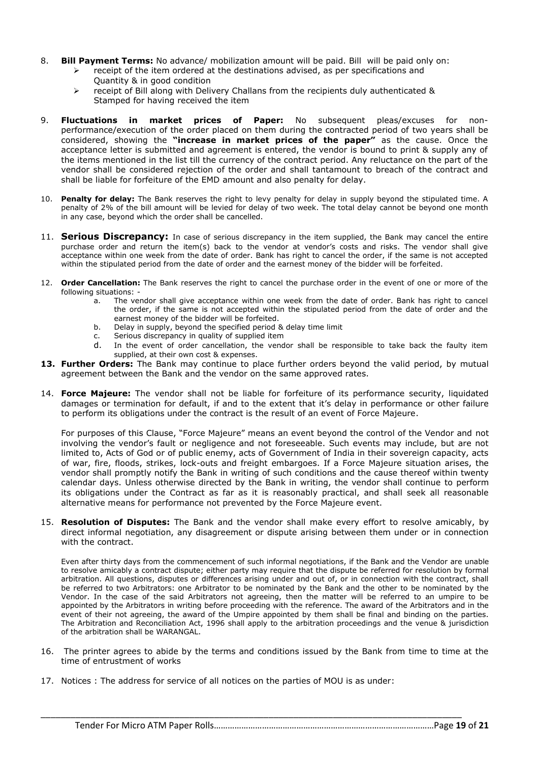- 8. **Bill Payment Terms:** No advance/ mobilization amount will be paid. Bill will be paid only on:
	- receipt of the item ordered at the destinations advised, as per specifications and
	- Quantity & in good condition
		- receipt of Bill along with Delivery Challans from the recipients duly authenticated & Stamped for having received the item
- 9. **Fluctuations in market prices of Paper:** No subsequent pleas/excuses for nonperformance/execution of the order placed on them during the contracted period of two years shall be considered, showing the **"increase in market prices of the paper"** as the cause. Once the acceptance letter is submitted and agreement is entered, the vendor is bound to print & supply any of the items mentioned in the list till the currency of the contract period. Any reluctance on the part of the vendor shall be considered rejection of the order and shall tantamount to breach of the contract and shall be liable for forfeiture of the EMD amount and also penalty for delay.
- 10. **Penalty for delay:** The Bank reserves the right to levy penalty for delay in supply beyond the stipulated time. A penalty of 2% of the bill amount will be levied for delay of two week. The total delay cannot be beyond one month in any case, beyond which the order shall be cancelled.
- 11. **Serious Discrepancy:** In case of serious discrepancy in the item supplied, the Bank may cancel the entire purchase order and return the item(s) back to the vendor at vendor's costs and risks. The vendor shall give acceptance within one week from the date of order. Bank has right to cancel the order, if the same is not accepted within the stipulated period from the date of order and the earnest money of the bidder will be forfeited.
- 12. **Order Cancellation:** The Bank reserves the right to cancel the purchase order in the event of one or more of the following situations:
	- a. The vendor shall give acceptance within one week from the date of order. Bank has right to cancel the order, if the same is not accepted within the stipulated period from the date of order and the earnest money of the bidder will be forfeited.
	- b. Delay in supply, beyond the specified period & delay time limit
	- c. Serious discrepancy in quality of supplied item
	- d. In the event of order cancellation, the vendor shall be responsible to take back the faulty item supplied, at their own cost & expenses.
- **13. Further Orders:** The Bank may continue to place further orders beyond the valid period, by mutual agreement between the Bank and the vendor on the same approved rates.
- 14. **Force Majeure:** The vendor shall not be liable for forfeiture of its performance security, liquidated damages or termination for default, if and to the extent that it's delay in performance or other failure to perform its obligations under the contract is the result of an event of Force Majeure.

For purposes of this Clause, "Force Majeure" means an event beyond the control of the Vendor and not involving the vendor's fault or negligence and not foreseeable. Such events may include, but are not limited to, Acts of God or of public enemy, acts of Government of India in their sovereign capacity, acts of war, fire, floods, strikes, lock-outs and freight embargoes. If a Force Majeure situation arises, the vendor shall promptly notify the Bank in writing of such conditions and the cause thereof within twenty calendar days. Unless otherwise directed by the Bank in writing, the vendor shall continue to perform its obligations under the Contract as far as it is reasonably practical, and shall seek all reasonable alternative means for performance not prevented by the Force Majeure event.

15. **Resolution of Disputes:** The Bank and the vendor shall make every effort to resolve amicably, by direct informal negotiation, any disagreement or dispute arising between them under or in connection with the contract.

Even after thirty days from the commencement of such informal negotiations, if the Bank and the Vendor are unable to resolve amicably a contract dispute; either party may require that the dispute be referred for resolution by formal arbitration. All questions, disputes or differences arising under and out of, or in connection with the contract, shall be referred to two Arbitrators: one Arbitrator to be nominated by the Bank and the other to be nominated by the Vendor. In the case of the said Arbitrators not agreeing, then the matter will be referred to an umpire to be appointed by the Arbitrators in writing before proceeding with the reference. The award of the Arbitrators and in the event of their not agreeing, the award of the Umpire appointed by them shall be final and binding on the parties. The Arbitration and Reconciliation Act, 1996 shall apply to the arbitration proceedings and the venue & jurisdiction of the arbitration shall be WARANGAL.

16. The printer agrees to abide by the terms and conditions issued by the Bank from time to time at the time of entrustment of works

\_\_\_\_\_\_\_\_\_\_\_\_\_\_\_\_\_\_\_\_\_\_\_\_\_\_\_\_\_\_\_\_\_\_\_\_\_\_\_\_\_\_\_\_\_\_\_\_\_\_\_\_\_\_\_\_\_\_\_\_\_\_\_\_\_\_\_\_\_\_\_\_\_\_\_\_\_\_\_\_\_\_\_\_\_

17. Notices : The address for service of all notices on the parties of MOU is as under: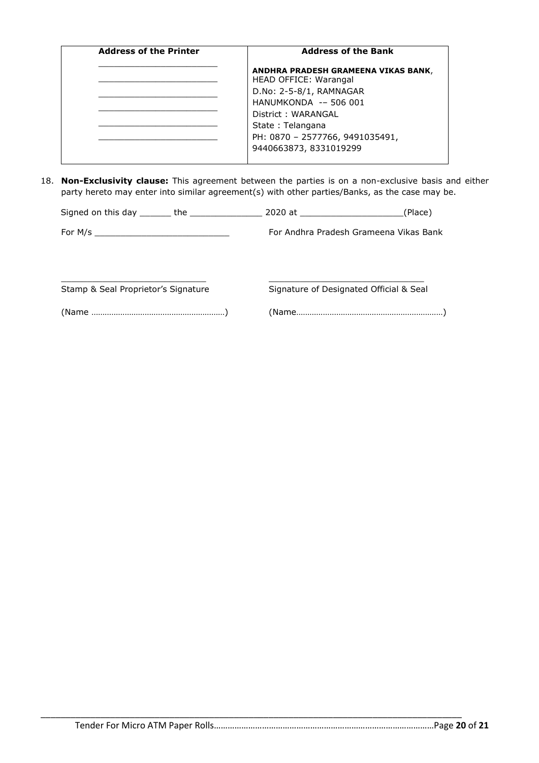| <b>Address of the Printer</b> | <b>Address of the Bank</b>                                          |
|-------------------------------|---------------------------------------------------------------------|
|                               | ANDHRA PRADESH GRAMEENA VIKAS BANK,<br><b>HEAD OFFICE: Warangal</b> |
|                               | D.No: 2-5-8/1, RAMNAGAR                                             |
|                               | HANUMKONDA -- 506 001                                               |
|                               | District: WARANGAL                                                  |
|                               | State: Telangana                                                    |
|                               | PH: 0870 - 2577766, 9491035491,<br>9440663873, 8331019299           |

18. **Non-Exclusivity clause:** This agreement between the parties is on a non-exclusive basis and either party hereto may enter into similar agreement(s) with other parties/Banks, as the case may be.

|                                     | (Place)                                 |
|-------------------------------------|-----------------------------------------|
|                                     | For Andhra Pradesh Grameena Vikas Bank  |
| Stamp & Seal Proprietor's Signature | Signature of Designated Official & Seal |
|                                     |                                         |